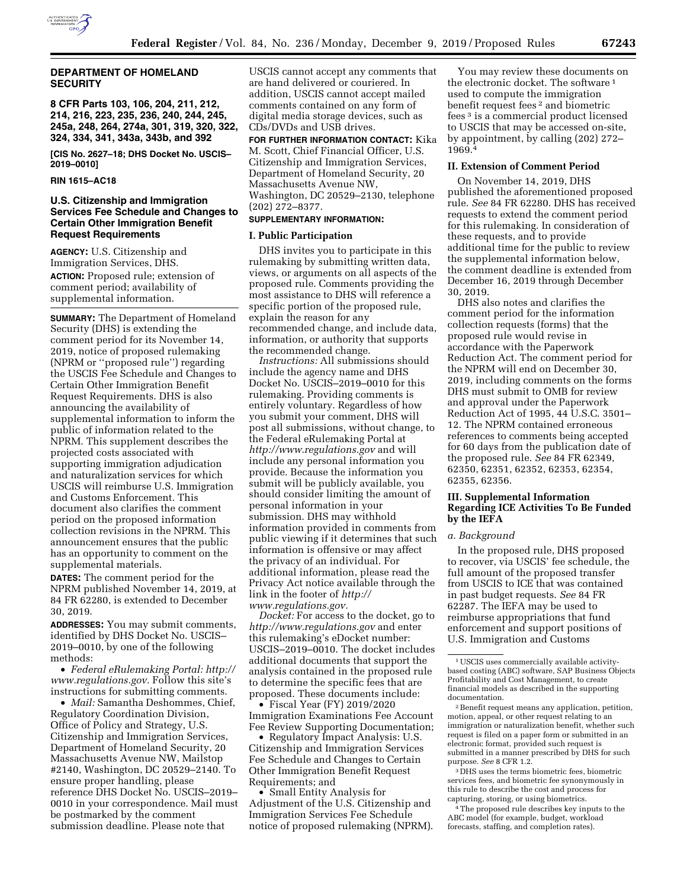

# **DEPARTMENT OF HOMELAND SECURITY**

**8 CFR Parts 103, 106, 204, 211, 212, 214, 216, 223, 235, 236, 240, 244, 245, 245a, 248, 264, 274a, 301, 319, 320, 322, 324, 334, 341, 343a, 343b, and 392** 

**[CIS No. 2627–18; DHS Docket No. USCIS– 2019–0010]** 

# **RIN 1615–AC18**

# **U.S. Citizenship and Immigration Services Fee Schedule and Changes to Certain Other Immigration Benefit Request Requirements**

**AGENCY:** U.S. Citizenship and Immigration Services, DHS. **ACTION:** Proposed rule; extension of comment period; availability of supplemental information.

**SUMMARY:** The Department of Homeland Security (DHS) is extending the comment period for its November 14, 2019, notice of proposed rulemaking (NPRM or ''proposed rule'') regarding the USCIS Fee Schedule and Changes to Certain Other Immigration Benefit Request Requirements. DHS is also announcing the availability of supplemental information to inform the public of information related to the NPRM. This supplement describes the projected costs associated with supporting immigration adjudication and naturalization services for which USCIS will reimburse U.S. Immigration and Customs Enforcement. This document also clarifies the comment period on the proposed information collection revisions in the NPRM. This announcement ensures that the public has an opportunity to comment on the supplemental materials.

**DATES:** The comment period for the NPRM published November 14, 2019, at 84 FR 62280, is extended to December 30, 2019.

**ADDRESSES:** You may submit comments, identified by DHS Docket No. USCIS– 2019–0010, by one of the following methods:

• *Federal eRulemaking Portal: [http://](http://www.regulations.gov)  [www.regulations.gov.](http://www.regulations.gov)* Follow this site's instructions for submitting comments.

• *Mail:* Samantha Deshommes, Chief, Regulatory Coordination Division, Office of Policy and Strategy, U.S. Citizenship and Immigration Services, Department of Homeland Security, 20 Massachusetts Avenue NW, Mailstop #2140, Washington, DC 20529–2140. To ensure proper handling, please reference DHS Docket No. USCIS–2019– 0010 in your correspondence. Mail must be postmarked by the comment submission deadline. Please note that

USCIS cannot accept any comments that are hand delivered or couriered. In addition, USCIS cannot accept mailed comments contained on any form of digital media storage devices, such as CDs/DVDs and USB drives.

**FOR FURTHER INFORMATION CONTACT:** Kika M. Scott, Chief Financial Officer, U.S. Citizenship and Immigration Services, Department of Homeland Security, 20 Massachusetts Avenue NW, Washington, DC 20529–2130, telephone (202) 272–8377.

# **SUPPLEMENTARY INFORMATION:**

#### **I. Public Participation**

DHS invites you to participate in this rulemaking by submitting written data, views, or arguments on all aspects of the proposed rule. Comments providing the most assistance to DHS will reference a specific portion of the proposed rule, explain the reason for any recommended change, and include data, information, or authority that supports the recommended change.

*Instructions:* All submissions should include the agency name and DHS Docket No. USCIS–2019–0010 for this rulemaking. Providing comments is entirely voluntary. Regardless of how you submit your comment, DHS will post all submissions, without change, to the Federal eRulemaking Portal at *<http://www.regulations.gov>* and will include any personal information you provide. Because the information you submit will be publicly available, you should consider limiting the amount of personal information in your submission. DHS may withhold information provided in comments from public viewing if it determines that such information is offensive or may affect the privacy of an individual. For additional information, please read the Privacy Act notice available through the link in the footer of *[http://](http://www.regulations.gov) [www.regulations.gov.](http://www.regulations.gov)* 

*Docket:* For access to the docket, go to *<http://www.regulations.gov>* and enter this rulemaking's eDocket number: USCIS–2019–0010. The docket includes additional documents that support the analysis contained in the proposed rule to determine the specific fees that are proposed. These documents include:

• Fiscal Year (FY) 2019/2020 Immigration Examinations Fee Account Fee Review Supporting Documentation;

• Regulatory Impact Analysis: U.S. Citizenship and Immigration Services Fee Schedule and Changes to Certain Other Immigration Benefit Request Requirements; and

• Small Entity Analysis for Adjustment of the U.S. Citizenship and Immigration Services Fee Schedule notice of proposed rulemaking (NPRM).

You may review these documents on the electronic docket. The software<sup>1</sup> used to compute the immigration benefit request fees 2 and biometric fees 3 is a commercial product licensed to USCIS that may be accessed on-site, by appointment, by calling (202) 272– 1969.4

### **II. Extension of Comment Period**

On November 14, 2019, DHS published the aforementioned proposed rule. *See* 84 FR 62280. DHS has received requests to extend the comment period for this rulemaking. In consideration of these requests, and to provide additional time for the public to review the supplemental information below, the comment deadline is extended from December 16, 2019 through December 30, 2019.

DHS also notes and clarifies the comment period for the information collection requests (forms) that the proposed rule would revise in accordance with the Paperwork Reduction Act. The comment period for the NPRM will end on December 30, 2019, including comments on the forms DHS must submit to OMB for review and approval under the Paperwork Reduction Act of 1995, 44 U.S.C. 3501– 12. The NPRM contained erroneous references to comments being accepted for 60 days from the publication date of the proposed rule. *See* 84 FR 62349, 62350, 62351, 62352, 62353, 62354, 62355, 62356.

#### **III. Supplemental Information Regarding ICE Activities To Be Funded by the IEFA**

#### *a. Background*

In the proposed rule, DHS proposed to recover, via USCIS' fee schedule, the full amount of the proposed transfer from USCIS to ICE that was contained in past budget requests. *See* 84 FR 62287. The IEFA may be used to reimburse appropriations that fund enforcement and support positions of U.S. Immigration and Customs

3 DHS uses the terms biometric fees, biometric services fees, and biometric fee synonymously in this rule to describe the cost and process for capturing, storing, or using biometrics.

4The proposed rule describes key inputs to the ABC model (for example, budget, workload forecasts, staffing, and completion rates).

<sup>1</sup>USCIS uses commercially available activitybased costing (ABC) software, SAP Business Objects Profitability and Cost Management, to create financial models as described in the supporting documentation.

<sup>2</sup>Benefit request means any application, petition, motion, appeal, or other request relating to an immigration or naturalization benefit, whether such request is filed on a paper form or submitted in an electronic format, provided such request is submitted in a manner prescribed by DHS for such purpose. *See* 8 CFR 1.2.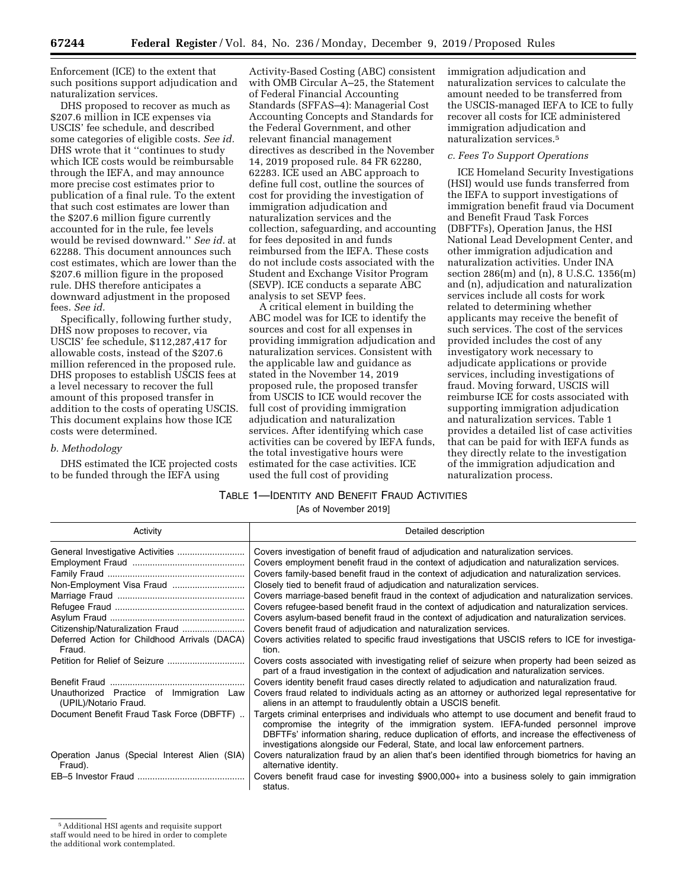Enforcement (ICE) to the extent that such positions support adjudication and naturalization services.

DHS proposed to recover as much as \$207.6 million in ICE expenses via USCIS' fee schedule, and described some categories of eligible costs. *See id.*  DHS wrote that it ''continues to study which ICE costs would be reimbursable through the IEFA, and may announce more precise cost estimates prior to publication of a final rule. To the extent that such cost estimates are lower than the \$207.6 million figure currently accounted for in the rule, fee levels would be revised downward.'' *See id.* at 62288. This document announces such cost estimates, which are lower than the \$207.6 million figure in the proposed rule. DHS therefore anticipates a downward adjustment in the proposed fees. *See id.* 

Specifically, following further study, DHS now proposes to recover, via USCIS' fee schedule, \$112,287,417 for allowable costs, instead of the \$207.6 million referenced in the proposed rule. DHS proposes to establish USCIS fees at a level necessary to recover the full amount of this proposed transfer in addition to the costs of operating USCIS. This document explains how those ICE costs were determined.

### *b. Methodology*

DHS estimated the ICE projected costs to be funded through the IEFA using

Activity-Based Costing (ABC) consistent with OMB Circular A–25, the Statement of Federal Financial Accounting Standards (SFFAS–4): Managerial Cost Accounting Concepts and Standards for the Federal Government, and other relevant financial management directives as described in the November 14, 2019 proposed rule. 84 FR 62280, 62283. ICE used an ABC approach to define full cost, outline the sources of cost for providing the investigation of immigration adjudication and naturalization services and the collection, safeguarding, and accounting for fees deposited in and funds reimbursed from the IEFA. These costs do not include costs associated with the Student and Exchange Visitor Program (SEVP). ICE conducts a separate ABC analysis to set SEVP fees.

A critical element in building the ABC model was for ICE to identify the sources and cost for all expenses in providing immigration adjudication and naturalization services. Consistent with the applicable law and guidance as stated in the November 14, 2019 proposed rule, the proposed transfer from USCIS to ICE would recover the full cost of providing immigration adjudication and naturalization services. After identifying which case activities can be covered by IEFA funds, the total investigative hours were estimated for the case activities. ICE used the full cost of providing

immigration adjudication and naturalization services to calculate the amount needed to be transferred from the USCIS-managed IEFA to ICE to fully recover all costs for ICE administered immigration adjudication and naturalization services.5

#### *c. Fees To Support Operations*

ICE Homeland Security Investigations (HSI) would use funds transferred from the IEFA to support investigations of immigration benefit fraud via Document and Benefit Fraud Task Forces (DBFTFs), Operation Janus, the HSI National Lead Development Center, and other immigration adjudication and naturalization activities. Under INA section 286(m) and (n), 8 U.S.C. 1356(m) and (n), adjudication and naturalization services include all costs for work related to determining whether applicants may receive the benefit of such services. The cost of the services provided includes the cost of any investigatory work necessary to adjudicate applications or provide services, including investigations of fraud. Moving forward, USCIS will reimburse ICE for costs associated with supporting immigration adjudication and naturalization services. Table 1 provides a detailed list of case activities that can be paid for with IEFA funds as they directly relate to the investigation of the immigration adjudication and naturalization process.

#### TABLE 1—IDENTITY AND BENEFIT FRAUD ACTIVITIES

[As of November 2019]

| Activity                                                          | Detailed description                                                                                                                                                                                                                                                                                                                                                    |
|-------------------------------------------------------------------|-------------------------------------------------------------------------------------------------------------------------------------------------------------------------------------------------------------------------------------------------------------------------------------------------------------------------------------------------------------------------|
|                                                                   | Covers investigation of benefit fraud of adjudication and naturalization services.                                                                                                                                                                                                                                                                                      |
|                                                                   | Covers employment benefit fraud in the context of adjudication and naturalization services.                                                                                                                                                                                                                                                                             |
|                                                                   | Covers family-based benefit fraud in the context of adjudication and naturalization services.                                                                                                                                                                                                                                                                           |
|                                                                   | Closely tied to benefit fraud of adjudication and naturalization services.                                                                                                                                                                                                                                                                                              |
|                                                                   | Covers marriage-based benefit fraud in the context of adjudication and naturalization services.                                                                                                                                                                                                                                                                         |
|                                                                   | Covers refugee-based benefit fraud in the context of adjudication and naturalization services.                                                                                                                                                                                                                                                                          |
|                                                                   | Covers asylum-based benefit fraud in the context of adjudication and naturalization services.                                                                                                                                                                                                                                                                           |
| Citizenship/Naturalization Fraud                                  | Covers benefit fraud of adjudication and naturalization services.                                                                                                                                                                                                                                                                                                       |
| Deferred Action for Childhood Arrivals (DACA)<br>Fraud.           | Covers activities related to specific fraud investigations that USCIS refers to ICE for investiga-<br>tion.                                                                                                                                                                                                                                                             |
|                                                                   | Covers costs associated with investigating relief of seizure when property had been seized as<br>part of a fraud investigation in the context of adjudication and naturalization services.                                                                                                                                                                              |
|                                                                   | Covers identity benefit fraud cases directly related to adjudication and naturalization fraud.                                                                                                                                                                                                                                                                          |
| Unauthorized Practice of Immigration Law<br>(UPIL)/Notario Fraud. | Covers fraud related to individuals acting as an attorney or authorized legal representative for<br>aliens in an attempt to fraudulently obtain a USCIS benefit.                                                                                                                                                                                                        |
| Document Benefit Fraud Task Force (DBFTF)                         | Targets criminal enterprises and individuals who attempt to use document and benefit fraud to<br>compromise the integrity of the immigration system. IEFA-funded personnel improve<br>DBFTFs' information sharing, reduce duplication of efforts, and increase the effectiveness of<br>investigations alongside our Federal, State, and local law enforcement partners. |
| Operation Janus (Special Interest Alien (SIA)<br>Fraud).          | Covers naturalization fraud by an alien that's been identified through biometrics for having an<br>alternative identity.                                                                                                                                                                                                                                                |
|                                                                   | Covers benefit fraud case for investing \$900,000+ into a business solely to gain immigration<br>status.                                                                                                                                                                                                                                                                |

<sup>5</sup>Additional HSI agents and requisite support

staff would need to be hired in order to complete

the additional work contemplated.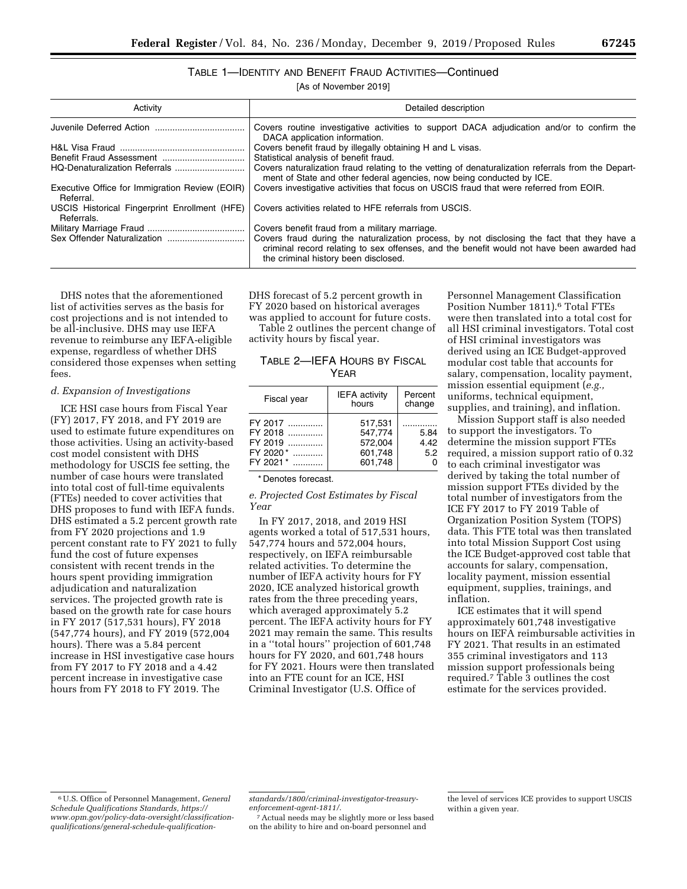# TABLE 1—IDENTITY AND BENEFIT FRAUD ACTIVITIES—Continued

[As of November 2019]

| Activity                                                    | Detailed description                                                                                                                                                                                                             |
|-------------------------------------------------------------|----------------------------------------------------------------------------------------------------------------------------------------------------------------------------------------------------------------------------------|
|                                                             | Covers routine investigative activities to support DACA adjudication and/or to confirm the<br>DACA application information.                                                                                                      |
|                                                             | Covers benefit fraud by illegally obtaining H and L visas.                                                                                                                                                                       |
|                                                             | Statistical analysis of benefit fraud.                                                                                                                                                                                           |
|                                                             | Covers naturalization fraud relating to the vetting of denaturalization referrals from the Depart-<br>ment of State and other federal agencies, now being conducted by ICE.                                                      |
| Executive Office for Immigration Review (EOIR)<br>Referral. | Covers investigative activities that focus on USCIS fraud that were referred from EOIR.                                                                                                                                          |
| USCIS Historical Fingerprint Enrollment (HFE)<br>Referrals. | Covers activities related to HFE referrals from USCIS.                                                                                                                                                                           |
|                                                             | Covers benefit fraud from a military marriage.                                                                                                                                                                                   |
|                                                             | Covers fraud during the naturalization process, by not disclosing the fact that they have a<br>criminal record relating to sex offenses, and the benefit would not have been awarded had<br>the criminal history been disclosed. |

DHS notes that the aforementioned list of activities serves as the basis for cost projections and is not intended to be all-inclusive. DHS may use IEFA revenue to reimburse any IEFA-eligible expense, regardless of whether DHS considered those expenses when setting fees.

#### *d. Expansion of Investigations*

ICE HSI case hours from Fiscal Year (FY) 2017, FY 2018, and FY 2019 are used to estimate future expenditures on those activities. Using an activity-based cost model consistent with DHS methodology for USCIS fee setting, the number of case hours were translated into total cost of full-time equivalents (FTEs) needed to cover activities that DHS proposes to fund with IEFA funds. DHS estimated a 5.2 percent growth rate from FY 2020 projections and 1.9 percent constant rate to FY 2021 to fully fund the cost of future expenses consistent with recent trends in the hours spent providing immigration adjudication and naturalization services. The projected growth rate is based on the growth rate for case hours in FY 2017 (517,531 hours), FY 2018 (547,774 hours), and FY 2019 (572,004 hours). There was a 5.84 percent increase in HSI investigative case hours from FY 2017 to FY 2018 and a 4.42 percent increase in investigative case hours from FY 2018 to FY 2019. The

DHS forecast of 5.2 percent growth in FY 2020 based on historical averages was applied to account for future costs.

Table 2 outlines the percent change of activity hours by fiscal year.

| TABLE 2—IEFA HOURS BY FISCAL |
|------------------------------|
| YFAR                         |

| Fiscal year        | <b>IEFA</b> activity<br>hours | Percent<br>change |
|--------------------|-------------------------------|-------------------|
| FY 2017<br>FY 2018 | 517,531<br>547,774            | 5.84              |
| FY 2019            | 572.004                       | 4.42              |
| FY 2020*           | 601,748                       | 5.2               |
| $FY$ 2021 $*$      | 601.748                       |                   |

\* Denotes forecast.

*e. Projected Cost Estimates by Fiscal Year* 

In FY 2017, 2018, and 2019 HSI agents worked a total of 517,531 hours, 547,774 hours and 572,004 hours, respectively, on IEFA reimbursable related activities. To determine the number of IEFA activity hours for FY 2020, ICE analyzed historical growth rates from the three preceding years, which averaged approximately 5.2 percent. The IEFA activity hours for FY 2021 may remain the same. This results in a ''total hours'' projection of 601,748 hours for FY 2020, and 601,748 hours for FY 2021. Hours were then translated into an FTE count for an ICE, HSI Criminal Investigator (U.S. Office of

Personnel Management Classification Position Number 1811).<sup>6</sup> Total FTEs were then translated into a total cost for all HSI criminal investigators. Total cost of HSI criminal investigators was derived using an ICE Budget-approved modular cost table that accounts for salary, compensation, locality payment, mission essential equipment (*e.g.,*  uniforms, technical equipment, supplies, and training), and inflation.

Mission Support staff is also needed to support the investigators. To determine the mission support FTEs required, a mission support ratio of 0.32 to each criminal investigator was derived by taking the total number of mission support FTEs divided by the total number of investigators from the ICE FY 2017 to FY 2019 Table of Organization Position System (TOPS) data. This FTE total was then translated into total Mission Support Cost using the ICE Budget-approved cost table that accounts for salary, compensation, locality payment, mission essential equipment, supplies, trainings, and inflation.

ICE estimates that it will spend approximately 601,748 investigative hours on IEFA reimbursable activities in FY 2021. That results in an estimated 355 criminal investigators and 113 mission support professionals being required.7 Table 3 outlines the cost estimate for the services provided.

7Actual needs may be slightly more or less based on the ability to hire and on-board personnel and

<sup>6</sup>U.S. Office of Personnel Management, *General Schedule Qualifications Standards, [https://](https://www.opm.gov/policy-data-oversight/classification-qualifications/general-schedule-qualification-standards/1800/criminal-investigator-treasury-enforcement-agent-1811/) [www.opm.gov/policy-data-oversight/classification](https://www.opm.gov/policy-data-oversight/classification-qualifications/general-schedule-qualification-standards/1800/criminal-investigator-treasury-enforcement-agent-1811/)[qualifications/general-schedule-qualification-](https://www.opm.gov/policy-data-oversight/classification-qualifications/general-schedule-qualification-standards/1800/criminal-investigator-treasury-enforcement-agent-1811/)*

*[standards/1800/criminal-investigator-treasury](https://www.opm.gov/policy-data-oversight/classification-qualifications/general-schedule-qualification-standards/1800/criminal-investigator-treasury-enforcement-agent-1811/)[enforcement-agent-1811/.](https://www.opm.gov/policy-data-oversight/classification-qualifications/general-schedule-qualification-standards/1800/criminal-investigator-treasury-enforcement-agent-1811/)* 

the level of services ICE provides to support USCIS within a given year.